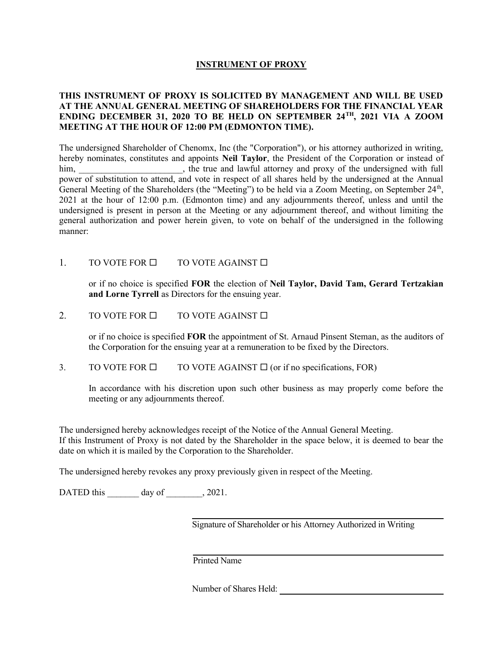## INSTRUMENT OF PROXY

# THIS INSTRUMENT OF PROXY IS SOLICITED BY MANAGEMENT AND WILL BE USED AT THE ANNUAL GENERAL MEETING OF SHAREHOLDERS FOR THE FINANCIAL YEAR ENDING DECEMBER 31, 2020 TO BE HELD ON SEPTEMBER 24TH, 2021 VIA A ZOOM MEETING AT THE HOUR OF 12:00 PM (EDMONTON TIME).

The undersigned Shareholder of Chenomx, Inc (the "Corporation"), or his attorney authorized in writing, hereby nominates, constitutes and appoints Neil Taylor, the President of the Corporation or instead of him, \_\_\_\_\_\_\_\_\_\_\_\_\_\_\_\_\_\_\_\_, the true and lawful attorney and proxy of the undersigned with full power of substitution to attend, and vote in respect of all shares held by the undersigned at the Annual General Meeting of the Shareholders (the "Meeting") to be held via a Zoom Meeting, on September 24<sup>th</sup>, 2021 at the hour of 12:00 p.m. (Edmonton time) and any adjournments thereof, unless and until the undersigned is present in person at the Meeting or any adjournment thereof, and without limiting the general authorization and power herein given, to vote on behalf of the undersigned in the following manner:

# 1. TO VOTE FOR  $\Box$  TO VOTE AGAINST  $\Box$

or if no choice is specified FOR the election of Neil Taylor, David Tam, Gerard Tertzakian and Lorne Tyrrell as Directors for the ensuing year.

## 2. TO VOTE FOR  $\Box$  TO VOTE AGAINST  $\Box$

or if no choice is specified FOR the appointment of St. Arnaud Pinsent Steman, as the auditors of the Corporation for the ensuing year at a remuneration to be fixed by the Directors.

### 3. TO VOTE FOR  $\Box$  TO VOTE AGAINST  $\Box$  (or if no specifications, FOR)

In accordance with his discretion upon such other business as may properly come before the meeting or any adjournments thereof.

The undersigned hereby acknowledges receipt of the Notice of the Annual General Meeting. If this Instrument of Proxy is not dated by the Shareholder in the space below, it is deemed to bear the date on which it is mailed by the Corporation to the Shareholder.

The undersigned hereby revokes any proxy previously given in respect of the Meeting.

DATED this day of  $, 2021$ .

Signature of Shareholder or his Attorney Authorized in Writing

Printed Name

Number of Shares Held: